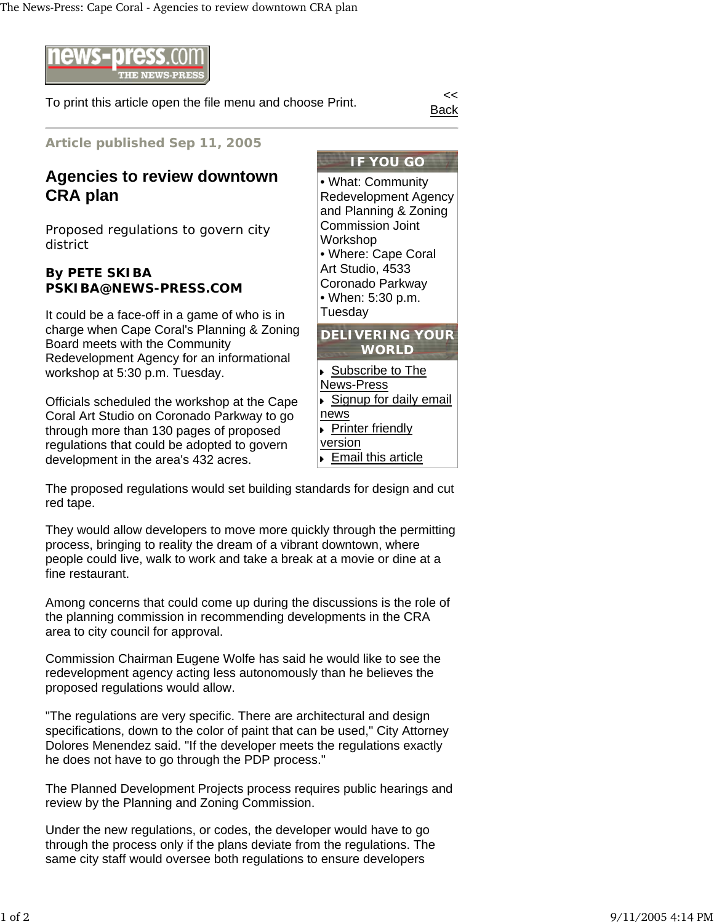

To print this article open the file menu and choose Print.

Back

**Article published Sep 11, 2005**

## **Agencies to review downtown CRA plan**

Proposed regulations to govern city district

## **By PETE SKIBA PSKIBA@NEWS-PRESS.COM**

It could be a face-off in a game of who is in charge when Cape Coral's Planning & Zoning Board meets with the Community Redevelopment Agency for an informational workshop at 5:30 p.m. Tuesday.

Officials scheduled the workshop at the Cape Coral Art Studio on Coronado Parkway to go through more than 130 pages of proposed regulations that could be adopted to govern development in the area's 432 acres.

Commission Joint Workshop • Where: Cape Coral Art Studio, 4533 Coronado Parkway • When: 5:30 p.m. Tuesday **DELIVERING YOUR WORLD** Subscribe to The News-Press Signup for daily email news

version **Email this article** 

The proposed regulations would set building standards for design and cut red tape.

They would allow developers to move more quickly through the permitting process, bringing to reality the dream of a vibrant downtown, where people could live, walk to work and take a break at a movie or dine at a fine restaurant.

Among concerns that could come up during the discussions is the role of the planning commission in recommending developments in the CRA area to city council for approval.

Commission Chairman Eugene Wolfe has said he would like to see the redevelopment agency acting less autonomously than he believes the proposed regulations would allow.

"The regulations are very specific. There are architectural and design specifications, down to the color of paint that can be used," City Attorney Dolores Menendez said. "If the developer meets the regulations exactly he does not have to go through the PDP process."

The Planned Development Projects process requires public hearings and review by the Planning and Zoning Commission.

Under the new regulations, or codes, the developer would have to go through the process only if the plans deviate from the regulations. The same city staff would oversee both regulations to ensure developers

• What: Community

Redevelopment Agency and Planning & Zoning Printer friendly